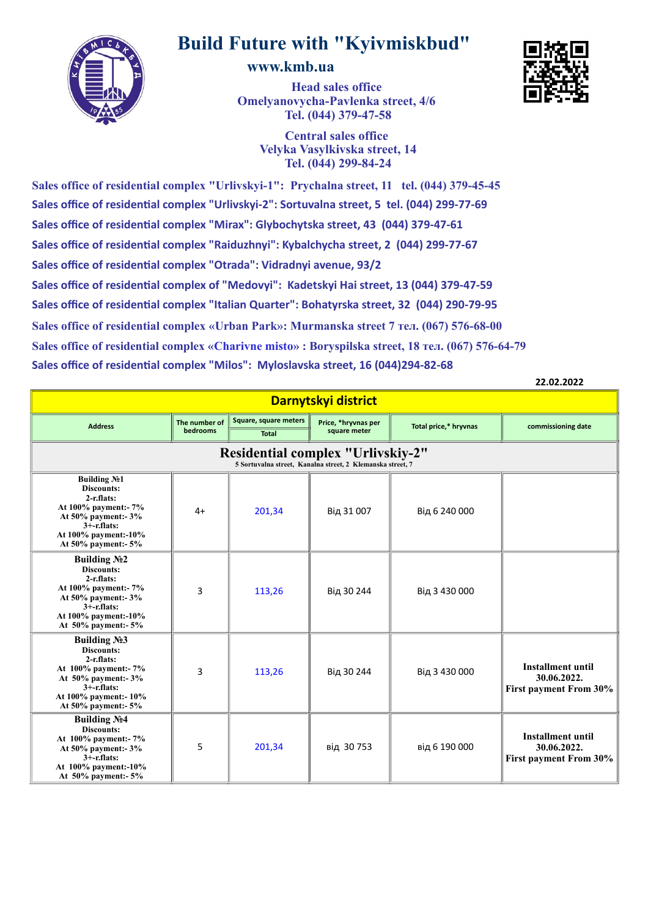

## **Build Future with "Kyivmiskbud"**

## **www.kmb.ua**

**Head sales office Omelyanovycha-Pavlenka street, 4/6 Tel. (044) 379-47-58**

**Central sales office Velyka Vasylkivska street, 14 Tel. (044) 299-84-24**

**Sales office of residential complex "Urlivskyi-1": Prychalna street, 11 tel. (044) 379-45-45 Sales office of residential complex "Urlivskyi-2": Sortuvalna street, 5 tel. (044) 299-77-69 Sales office of residential complex "Mirax": Glybochytska street, 43 (044) 379-47-61 Sales office of residential complex "Raiduzhnyi": Kybalchycha street, 2 (044) 299-77-67 Sales office of residential complex "Otrada": Vidradnyi avenue, 93/2 Sales office of residential complex of "Medovyi": Kadetskyi Hai street, 13 (044) 379-47-59 Sales office of residential complex "Italian Quarter": Bohatyrska street, 32 (044) 290-79-95 Sales office of residential complex «Urban Park»: Murmanska street 7 тел. (067) 576-68-00 Sales office of residential complex "Milos": Myloslavska street, 16 (044)294-82-68 Sales office of residential complex «Charivne misto» : Boryspilska street, 18 тел. (067) 576-64-79**

**22.02.2022**

| Darnytskyi district                                                                                                                                                       |                           |                                       |                                     |                       |                                                                          |  |  |
|---------------------------------------------------------------------------------------------------------------------------------------------------------------------------|---------------------------|---------------------------------------|-------------------------------------|-----------------------|--------------------------------------------------------------------------|--|--|
| <b>Address</b>                                                                                                                                                            | The number of<br>bedrooms | Square, square meters<br><b>Total</b> | Price, *hryvnas per<br>square meter | Total price,* hryvnas | commissioning date                                                       |  |  |
| <b>Residential complex "Urlivskiy-2"</b><br>5 Sortuvalna street, Kanalna street, 2 Klemanska street, 7                                                                    |                           |                                       |                                     |                       |                                                                          |  |  |
| <b>Building №1</b><br><b>Discounts:</b><br>$2-r$ .flats:<br>At 100% payment:- 7%<br>At 50% payment:- 3%<br>$3+$ -r.flats:<br>At 100% payment:-10%<br>At 50% payment:- 5%  | $4+$                      | 201,34                                | Від 31 007                          | Від 6 240 000         |                                                                          |  |  |
| <b>Building №2</b><br><b>Discounts:</b><br>$2-r$ . flats:<br>At 100% payment:- 7%<br>At 50% payment:- 3%<br>$3+$ -r.flats:<br>At 100% payment:-10%<br>At 50% payment:- 5% | 3                         | 113,26                                | Від 30 244                          | Від 3 430 000         |                                                                          |  |  |
| <b>Building №3</b><br>Discounts:<br>$2-r$ .flats:<br>At 100% payment:- 7%<br>At $50\%$ payment:- $3\%$<br>$3+$ -r.flats:<br>At 100% payment:-10%<br>At 50% payment:- 5%   | 3                         | 113,26                                | Від 30 244                          | Від 3 430 000         | <b>Installment until</b><br>30.06.2022.<br><b>First payment From 30%</b> |  |  |
| <b>Building No.4</b><br><b>Discounts:</b><br>At 100% payment:- 7%<br>At 50% payment:- 3%<br>$3+$ -r.flats:<br>At 100% payment:-10%<br>At $50\%$ payment:- $5\%$           | 5                         | 201,34                                | від 30753                           | від 6 190 000         | <b>Installment until</b><br>30.06.2022.<br>First payment From 30%        |  |  |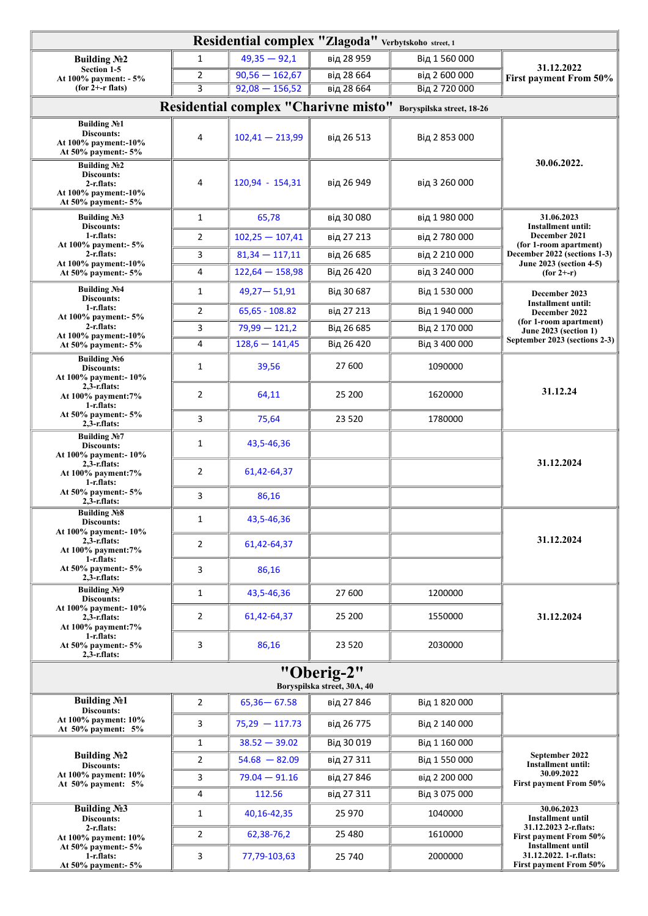| Residential complex "Zlagoda" Verbytskoho street, 1                                                   |                                           |                                      |            |                           |                                                                 |  |  |
|-------------------------------------------------------------------------------------------------------|-------------------------------------------|--------------------------------------|------------|---------------------------|-----------------------------------------------------------------|--|--|
| Building No2                                                                                          | $\mathbf{1}$                              | $49,35 - 92,1$                       | від 28 959 | Від 1 560 000             |                                                                 |  |  |
| Section 1-5<br>At 100% payment: - 5%                                                                  | 2                                         | $90,56 - 162,67$                     | від 28 664 | від 2 600 000             | 31.12.2022<br>First payment From 50%                            |  |  |
| $(for 2+-r \, \text{flats})$                                                                          | $\overline{\mathbf{3}}$                   | $92,08 - 156,52$                     | від 28 664 | Від 2720000               |                                                                 |  |  |
|                                                                                                       |                                           | Residential complex "Charivne misto" |            | Boryspilska street, 18-26 |                                                                 |  |  |
| Building No1<br>Discounts:<br>At 100% payment:-10%<br>At 50% payment:- 5%                             | 4                                         | $102,41 - 213,99$                    | від 26 513 | Від 2 853 000             |                                                                 |  |  |
| <b>Building No2</b><br><b>Discounts:</b><br>2-r.flats:<br>At 100% payment:-10%<br>At 50% payment:- 5% | 4                                         | 120,94 - 154,31                      | від 26 949 | від 3 260 000             | 30.06.2022.                                                     |  |  |
| Building $N23$<br>Discounts:                                                                          | 1                                         | 65,78                                | від 30 080 | від 1980 000              | 31.06.2023<br><b>Installment until:</b>                         |  |  |
| 1-r.flats:<br>At 100% payment:- 5%                                                                    | 2                                         | $102,25 - 107,41$                    | від 27 213 | від 2780000               | December 2021<br>(for 1-room apartment)                         |  |  |
| $2-r$ .flats:                                                                                         | 3                                         | $81,34 - 117,11$                     | від 26 685 | від 2 210 000             | December 2022 (sections 1-3)                                    |  |  |
| At 100% payment:-10%<br>At 50% payment:- 5%                                                           | 4                                         | $122,64 - 158,98$                    | Від 26 420 | від 3 240 000             | June 2023 (section 4-5)<br>$(for 2+-r)$                         |  |  |
| Building No.4<br>Discounts:                                                                           | 1                                         | $49,27 - 51,91$                      | Від 30 687 | Від 1 530 000             | December 2023                                                   |  |  |
| 1-r.flats:<br>At 100% payment:- 5%                                                                    | 2                                         | $65,65 - 108.82$                     | від 27 213 | Від 1940000               | <b>Installment until:</b><br>December 2022                      |  |  |
| $2-r$ .flats:                                                                                         | 3                                         | $79,99 - 121,2$                      | Від 26 685 | Від 2 170 000             | (for 1-room apartment)<br><b>June 2023 (section 1)</b>          |  |  |
| At 100% payment:-10%<br>At 50% payment:- 5%                                                           | 4                                         | $128,6 - 141,45$                     | Від 26 420 | Від 3 400 000             | September 2023 (sections 2-3)                                   |  |  |
| <b>Building No6</b><br>Discounts:<br>At 100% payment:- 10%                                            | 1                                         | 39,56                                | 27 600     | 1090000                   |                                                                 |  |  |
| $2, 3$ -r.flats:<br>At 100% payment: 7%<br>1-r.flats:                                                 | $\overline{2}$                            | 64,11                                | 25 200     | 1620000                   | 31.12.24                                                        |  |  |
| At 50% payment:- 5%<br>$2, 3$ -r.flats:                                                               | 3                                         | 75,64                                | 23 520     | 1780000                   |                                                                 |  |  |
| Building No.7<br>Discounts:<br>At 100% payment:-10%                                                   | 1                                         | 43,5-46,36                           |            |                           |                                                                 |  |  |
| $2,3$ -r.flats:<br>At 100% payment: 7%<br>$1-r$ .flats:                                               | $\overline{2}$                            | 61,42-64,37                          |            |                           | 31.12.2024                                                      |  |  |
| At 50% payment:- 5%<br>$2, 3$ -r.flats:                                                               | 3                                         | 86,16                                |            |                           |                                                                 |  |  |
| Building No <sub>2</sub><br>Discounts:<br>At 100% payment:- 10%                                       | 1                                         | 43,5-46,36                           |            |                           |                                                                 |  |  |
| $2, 3$ -r.flats:<br>At 100% payment: 7%<br>1-r.flats:                                                 | 2                                         | 61,42-64,37                          |            |                           | 31.12.2024                                                      |  |  |
| At $50\%$ payment:- $5\%$<br>$2, 3$ -r.flats:                                                         | 3                                         | 86,16                                |            |                           |                                                                 |  |  |
| <b>Building No9</b><br>Discounts:                                                                     | 1                                         | 43,5-46,36                           | 27 600     | 1200000                   |                                                                 |  |  |
| At 100% payment: - 10%<br>$2, 3$ -r.flats:<br>At 100% payment: 7%                                     | $\mathbf{2}$                              | 61,42-64,37                          | 25 200     | 1550000                   | 31.12.2024                                                      |  |  |
| $1-r$ .flats:<br>At 50% payment:- 5%<br>$2.3$ -r.flats:                                               | 3                                         | 86,16                                | 23 520     | 2030000                   |                                                                 |  |  |
|                                                                                                       | "Oberig-2"<br>Boryspilska street, 30A, 40 |                                      |            |                           |                                                                 |  |  |
| <b>Building №1</b><br>Discounts:                                                                      | 2                                         | $65,36 - 67.58$                      | від 27 846 | Від 1 820 000             |                                                                 |  |  |
| At 100% payment: 10%<br>At 50% payment: 5%                                                            | 3                                         | $75,29 - 117.73$                     | від 26 775 | Від 2 140 000             |                                                                 |  |  |
|                                                                                                       | $\mathbf{1}$                              | $38.52 - 39.02$                      | Від 30019  | Від 1 160 000             |                                                                 |  |  |
| Building No <sub>2</sub><br><b>Discounts:</b>                                                         | 2                                         | $54.68 - 82.09$                      | від 27 311 | Від 1 550 000             | September 2022<br>Installment until:                            |  |  |
| At 100% payment: 10%<br>At 50% payment: 5%                                                            | 3                                         | $79.04 - 91.16$                      | від 27 846 | від 2 200 000             | 30.09.2022<br><b>First payment From 50%</b>                     |  |  |
|                                                                                                       | 4                                         | 112.56                               | від 27 311 | Від 3 075 000             |                                                                 |  |  |
| <b>Building No3</b><br>Discounts:                                                                     | 1                                         | 40,16-42,35                          | 25 970     | 1040000                   | 30.06.2023<br><b>Installment until</b><br>31.12.2023 2-r.flats: |  |  |
| 2-r.flats:<br>At 100% payment: 10%                                                                    | 2                                         | 62,38-76,2                           | 25 4 80    | 1610000                   | <b>First payment From 50%</b><br><b>Installment until</b>       |  |  |
| At 50% payment:- 5%<br>1-r.flats:<br>At 50% payment:- 5%                                              | 3                                         | 77,79-103,63                         | 25 740     | 2000000                   | 31.12.2022. 1-r.flats:<br>First payment From 50%                |  |  |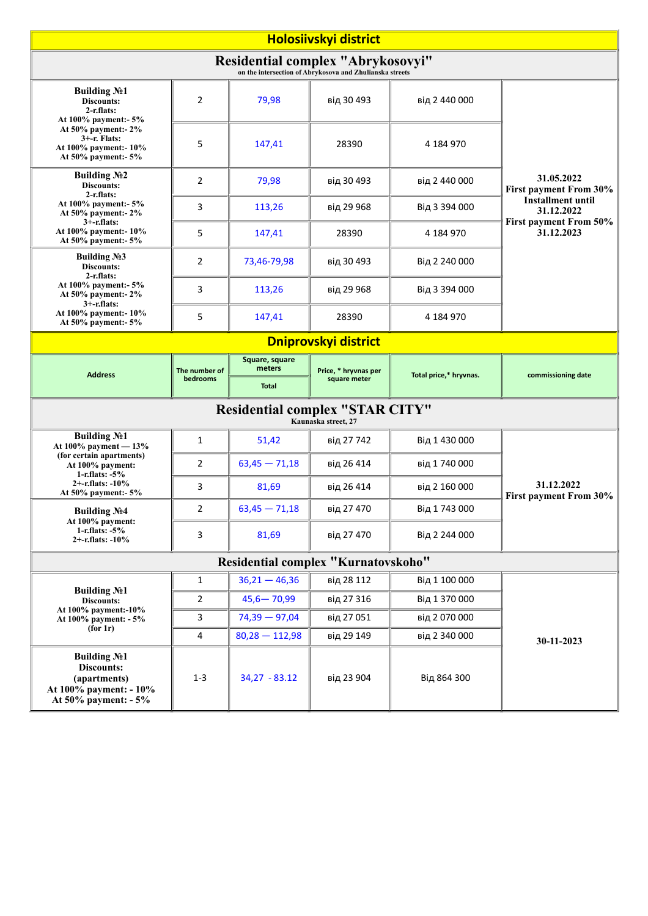| Holosiivskyi district                                                                                     |                                     |                          |                                                               |                        |                                                                                       |  |  |
|-----------------------------------------------------------------------------------------------------------|-------------------------------------|--------------------------|---------------------------------------------------------------|------------------------|---------------------------------------------------------------------------------------|--|--|
| Residential complex "Abrykosovyi"<br>on the intersection of Abrykosova and Zhulianska streets             |                                     |                          |                                                               |                        |                                                                                       |  |  |
| <b>Building No1</b><br>Discounts:<br>$2-r$ .flats:<br>At 100% payment:- 5%                                | 2                                   | 79,98                    | від 30 493                                                    | від 2 440 000          |                                                                                       |  |  |
| At 50% payment:- 2%<br>$3 + -r$ . Flats:<br>At 100% payment:-10%<br>At 50% payment:- 5%                   | 5                                   | 147,41                   | 28390                                                         | 4 184 970              |                                                                                       |  |  |
| <b>Building №2</b><br>Discounts:<br>$2-r$ .flats:                                                         | 2                                   | 79,98                    | від 30 493                                                    | від 2 440 000          | 31.05.2022<br><b>First payment From 30%</b><br><b>Installment until</b><br>31.12.2022 |  |  |
| At 100% payment:- 5%<br>At 50% payment:- 2%                                                               | 3                                   | 113,26                   | від 29 968                                                    | Від 3 394 000          |                                                                                       |  |  |
| $3+$ -r.flats:<br>At 100% payment: - 10%<br>At 50% payment:- 5%                                           | 5                                   | 147,41                   | 28390                                                         | 4 184 970              | First payment From 50%<br>31.12.2023                                                  |  |  |
| Building $N23$<br><b>Discounts:</b>                                                                       | 2                                   | 73,46-79,98              | від 30 493                                                    | Від 2 240 000          |                                                                                       |  |  |
| $2-r$ .flats:<br>At 100% payment:- 5%<br>At 50% payment:- 2%                                              | 3                                   | 113,26                   | від 29 968                                                    | Від 3 394 000          |                                                                                       |  |  |
| $3+$ -r.flats:<br>At 100% payment: - 10%<br>At 50% payment:- 5%                                           | 5                                   | 147,41                   | 28390                                                         | 4 184 970              |                                                                                       |  |  |
| <b>Dniprovskyi district</b>                                                                               |                                     |                          |                                                               |                        |                                                                                       |  |  |
| <b>Address</b>                                                                                            | The number of                       | Square, square<br>meters | Price, * hryvnas per                                          | Total price,* hryvnas. | commissioning date                                                                    |  |  |
|                                                                                                           | bedrooms                            | Total                    | square meter                                                  |                        |                                                                                       |  |  |
|                                                                                                           |                                     |                          | <b>Residential complex "STAR CITY"</b><br>Kaunaska street, 27 |                        |                                                                                       |  |  |
| <b>Building №1</b><br>At 100% payment - 13%                                                               | $\mathbf{1}$                        | 51,42                    | від 27 742                                                    | Від 1 430 000          |                                                                                       |  |  |
| (for certain apartments)<br>At 100% payment:<br>1-r.flats: $-5\%$                                         | 2                                   | $63,45 - 71,18$          | від 26 414                                                    | від 1740000            |                                                                                       |  |  |
| 2+ $-$ r.flats: $-10\%$<br>At 50% payment:- 5%                                                            | 3                                   | 81,69                    | від 26 414                                                    | від 2 160 000          | 31.12.2022<br>First payment From 30%                                                  |  |  |
| <b>Building No.4</b><br>At 100% payment:                                                                  | 2                                   | $63,45 - 71,18$          | від 27 470                                                    | Від 1743000            |                                                                                       |  |  |
| 1-r.flats: $-5\%$<br>2+-r.flats: -10%                                                                     | 3                                   | 81,69                    | від 27 470                                                    | Від 2 244 000          |                                                                                       |  |  |
|                                                                                                           | Residential complex "Kurnatovskoho" |                          |                                                               |                        |                                                                                       |  |  |
|                                                                                                           | $\mathbf{1}$                        | $36,21 - 46,36$          | від 28 112                                                    | Від 1 100 000          |                                                                                       |  |  |
| <b>Building №1</b><br>Discounts:                                                                          | $\overline{2}$                      | $45,6 - 70,99$           | від 27 316                                                    | Від 1 370 000          |                                                                                       |  |  |
| At 100% payment:-10%<br>At 100% payment: - 5%<br>(for 1r)                                                 | 3                                   | $74,39 - 97,04$          | від 27051                                                     | від 2070000            |                                                                                       |  |  |
|                                                                                                           | 4                                   | $80,28 - 112,98$         | від 29 149                                                    | від 2 340 000          | 30-11-2023                                                                            |  |  |
| <b>Building №1</b><br><b>Discounts:</b><br>(apartments)<br>At 100% payment: - 10%<br>At 50% payment: - 5% | $1 - 3$                             | $34,27 - 83.12$          | від 23 904                                                    | Від 864 300            |                                                                                       |  |  |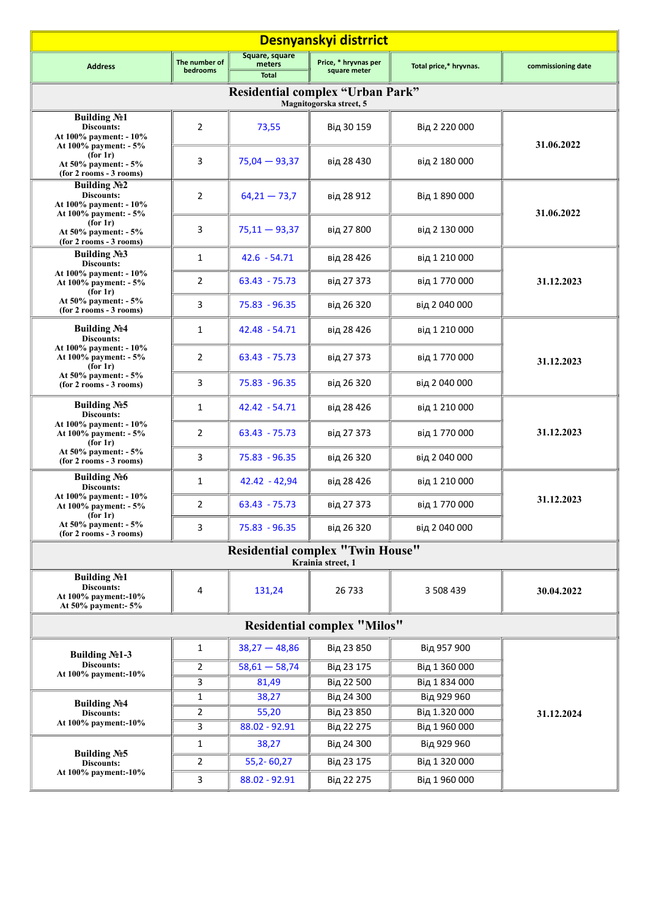| Desnyanskyi distrrict                                                                 |                                    |                                          |                                                                    |                              |                    |  |  |
|---------------------------------------------------------------------------------------|------------------------------------|------------------------------------------|--------------------------------------------------------------------|------------------------------|--------------------|--|--|
| <b>Address</b>                                                                        | The number of<br><b>bedrooms</b>   | Square, square<br>meters<br><b>Total</b> | Price, * hryvnas per<br>square meter                               | Total price,* hryvnas.       | commissioning date |  |  |
|                                                                                       |                                    |                                          | <b>Residential complex "Urban Park"</b><br>Magnitogorska street, 5 |                              |                    |  |  |
| <b>Building №1</b><br>Discounts:<br>At 100% payment: - 10%                            | $\overline{2}$                     | 73,55                                    | Від 30 159                                                         | Від 2 220 000                | 31.06.2022         |  |  |
| At 100% payment: - 5%<br>(for 1r)<br>At 50% payment: - 5%<br>(for 2 rooms - 3 rooms)  | 3                                  | $75,04 - 93,37$                          | від 28 430                                                         | від 2 180 000                |                    |  |  |
| Building $N2$<br><b>Discounts:</b><br>At 100% payment: - 10%<br>At 100% payment: - 5% | 2                                  | $64,21 - 73,7$                           | від 28 912                                                         | Від 1 890 000                | 31.06.2022         |  |  |
| (for 1r)<br>At 50% payment: - 5%<br>(for 2 rooms - 3 rooms)                           | 3                                  | $75,11 - 93,37$                          | від 27 800                                                         | від 2 130 000                |                    |  |  |
| <b>Building №3</b><br><b>Discounts:</b>                                               | 1                                  | $42.6 - 54.71$                           | від 28 426                                                         | від 1 210 000                |                    |  |  |
| At 100% payment: - 10%<br>At 100% payment: - 5%<br>(for 1r)                           | $\overline{2}$                     | $63.43 - 75.73$                          | від 27 373                                                         | від 1770000                  | 31.12.2023         |  |  |
| At 50% payment: - 5%<br>$(for 2 rooms - 3 rooms)$                                     | 3                                  | 75.83 - 96.35                            | від 26 320                                                         | від 2040000                  |                    |  |  |
| <b>Building No4</b><br>Discounts:                                                     | 1                                  | 42.48 - 54.71                            | від 28 426                                                         | від 1 210 000                |                    |  |  |
| At 100% payment: - 10%<br>At 100% payment: - 5%<br>(for 1r)                           | 2                                  | $63.43 - 75.73$                          | від 27 373                                                         | від 1770000                  | 31.12.2023         |  |  |
| At 50% payment: - 5%<br>$(for 2 rooms - 3 rooms)$                                     | 3                                  | $75.83 - 96.35$                          | від 26 320                                                         | від 2040000                  |                    |  |  |
| <b>Building No<sub>2</sub>5</b><br>Discounts:                                         | 1                                  | $42.42 - 54.71$                          | від 28 426                                                         | від 1 210 000                |                    |  |  |
| At 100% payment: - 10%<br>At 100% payment: - 5%<br>(for 1r)                           | $\overline{2}$                     | $63.43 - 75.73$                          | від 27 373                                                         | від 1770000                  | 31.12.2023         |  |  |
| At $50\%$ payment: $-5\%$<br>(for 2 rooms - 3 rooms)                                  | 3                                  | 75.83 - 96.35                            | від 26 320                                                         | від 2040000                  |                    |  |  |
| <b>Building No6</b><br>Discounts:                                                     | 1                                  | $42.42 - 42.94$                          | від 28 426                                                         | від 1 210 000                |                    |  |  |
| At 100% payment: - 10%<br>At 100% payment: - 5%<br>(for 1r)                           | $\overline{2}$                     | $63.43 - 75.73$                          | від 27 373                                                         | від 1770000                  | 31.12.2023         |  |  |
| At 50% payment: - 5%<br>(for 2 rooms - 3 rooms)                                       | 3                                  | $75.83 - 96.35$                          | від 26 320                                                         | від 2040000                  |                    |  |  |
|                                                                                       |                                    |                                          | <b>Residential complex "Twin House"</b><br>Krainia street, 1       |                              |                    |  |  |
| Building No1<br><b>Discounts:</b><br>At 100% payment:-10%<br>At 50% payment:- 5%      | 4                                  | 131,24                                   | 26 733                                                             | 3 508 439                    | 30.04.2022         |  |  |
|                                                                                       | <b>Residential complex "Milos"</b> |                                          |                                                                    |                              |                    |  |  |
| Building No <sub>21</sub> -3                                                          | $\mathbf{1}$                       | $38,27 - 48,86$                          | Від 23 850                                                         | Від 957 900                  |                    |  |  |
| Discounts:<br>At 100% payment:-10%                                                    | 2                                  | $58,61 - 58,74$                          | Від 23 175                                                         | Від 1 360 000                |                    |  |  |
|                                                                                       | 3                                  | 81,49                                    | Від 22 500                                                         | Від 1 834 000                |                    |  |  |
| <b>Building No4</b>                                                                   | 1                                  | 38,27                                    | Від 24 300                                                         | Від 929 960                  |                    |  |  |
| Discounts:<br>At 100% payment:-10%                                                    | 2                                  | 55,20                                    | Від 23 850                                                         | Від 1.320 000                | 31.12.2024         |  |  |
|                                                                                       | 3                                  | 88.02 - 92.91                            | Від 22 275                                                         | Від 1960000                  |                    |  |  |
| Building $N25$<br><b>Discounts:</b>                                                   | $\mathbf{1}$<br>2                  | 38,27<br>$55,2 - 60,27$                  | Від 24 300<br>Від 23 175                                           | Від 929 960<br>Від 1 320 000 |                    |  |  |
| At 100% payment:-10%                                                                  | 3                                  | 88.02 - 92.91                            | Від 22 275                                                         | Від 1960000                  |                    |  |  |
|                                                                                       |                                    |                                          |                                                                    |                              |                    |  |  |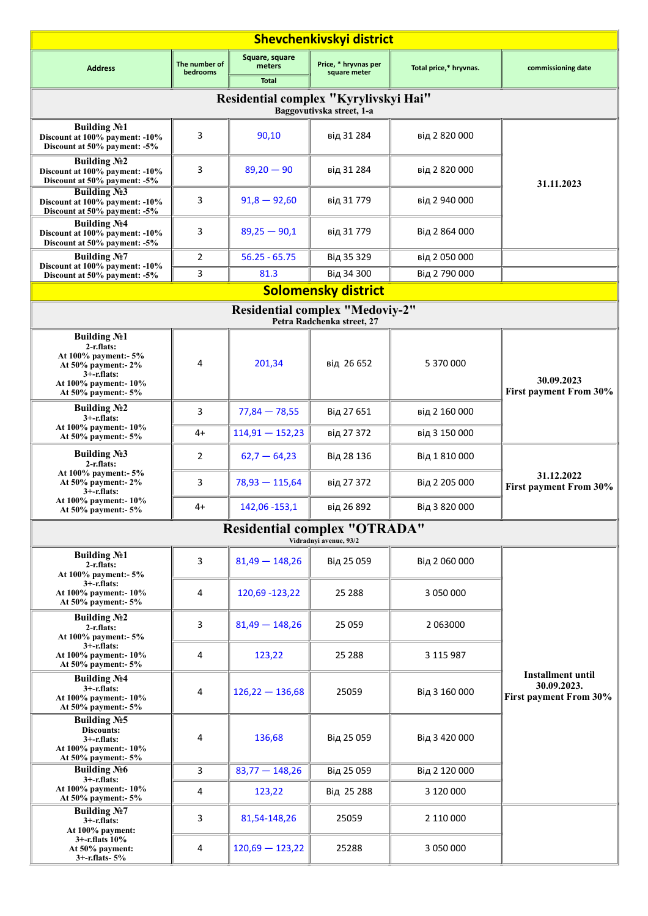| <b>Shevchenkivskyi district</b>                                                                                                                      |                           |                                          |                                                                      |                        |                                                                   |  |  |
|------------------------------------------------------------------------------------------------------------------------------------------------------|---------------------------|------------------------------------------|----------------------------------------------------------------------|------------------------|-------------------------------------------------------------------|--|--|
| <b>Address</b>                                                                                                                                       | The number of<br>bedrooms | Square, square<br>meters<br><b>Total</b> | Price, * hryvnas per<br>square meter                                 | Total price,* hryvnas. | commissioning date                                                |  |  |
|                                                                                                                                                      |                           |                                          | Residential complex "Kyrylivskyi Hai"<br>Baggovutivska street, 1-a   |                        |                                                                   |  |  |
| Building No1<br>Discount at 100% payment: -10%<br>Discount at 50% payment: -5%                                                                       | 3                         | 90,10                                    | від 31 284                                                           | від 2 820 000          |                                                                   |  |  |
| <b>Building No.2</b><br>Discount at 100% payment: -10%<br>Discount at 50% payment: -5%                                                               | 3                         | $89,20 - 90$                             | від 31 284                                                           | від 2 820 000          | 31.11.2023                                                        |  |  |
| <b>Building No3</b><br>Discount at 100% payment: -10%<br>Discount at 50% payment: -5%                                                                | 3                         | $91,8 - 92,60$                           | від 31779                                                            | від 2 940 000          |                                                                   |  |  |
| <b>Building No4</b><br>Discount at 100% payment: -10%<br>Discount at 50% payment: -5%                                                                | 3                         | $89,25 - 90,1$                           | від 31779                                                            | Від 2 864 000          |                                                                   |  |  |
| <b>Building N</b> o <sub>27</sub><br>Discount at 100% payment: -10%                                                                                  | $\overline{2}$            | $56.25 - 65.75$                          | Від 35 329                                                           | від 2050000            |                                                                   |  |  |
| Discount at 50% payment: -5%                                                                                                                         | 3                         | 81.3                                     | Від 34 300                                                           | Від 2790000            |                                                                   |  |  |
|                                                                                                                                                      |                           |                                          | <b>Solomensky district</b>                                           |                        |                                                                   |  |  |
|                                                                                                                                                      |                           |                                          | <b>Residential complex "Medoviy-2"</b><br>Petra Radchenka street. 27 |                        |                                                                   |  |  |
| <b>Building №1</b><br>$2-r$ .flats:<br>At 100% payment:- 5%<br>At 50% payment:- 2%<br>$3+$ -r.flats:<br>At 100% payment:- 10%<br>At 50% payment:- 5% | 4                         | 201,34                                   | від 26 652                                                           | 5 370 000              | 30.09.2023<br>First payment From 30%                              |  |  |
| Building $N2$<br>$3+$ -r.flats:                                                                                                                      | 3                         | $77,84 - 78,55$                          | Від 27 651                                                           | від 2 160 000          |                                                                   |  |  |
| At 100% payment:-10%<br>At 50% payment:- 5%                                                                                                          | $4+$                      | $114,91 - 152,23$                        | від 27 372                                                           | від 3 150 000          |                                                                   |  |  |
| <b>Building №3</b><br>$2-r$ .flats:                                                                                                                  | 2                         | $62,7 - 64,23$                           | Від 28 136                                                           | Від 1810000            |                                                                   |  |  |
| At 100% payment:- 5%<br>At 50% payment:- 2%<br>$3+$ -r.flats:                                                                                        | 3                         | $78,93 - 115,64$                         | від 27 372                                                           | Від 2 205 000          | 31.12.2022<br>First payment From 30%                              |  |  |
| At 100% payment:-10%<br>At 50% payment:- 5%                                                                                                          | 4+                        | 142,06 - 153,1                           | від 26 892                                                           | Від 3 820 000          |                                                                   |  |  |
|                                                                                                                                                      |                           |                                          | <b>Residential complex "OTRADA"</b><br>Vidradnyi avenue, 93/2        |                        |                                                                   |  |  |
| <b>Building No1</b><br>2-r.flats:<br>At 100% payment:- 5%                                                                                            | 3                         | $81,49 - 148,26$                         | Від 25 059                                                           | Від 2060000            |                                                                   |  |  |
| $3+$ -r.flats:<br>At 100% payment:-10%<br>At 50% payment:- 5%                                                                                        | 4                         | 120,69 - 123,22                          | 25 288                                                               | 3 050 000              |                                                                   |  |  |
| Building No <sub>2</sub><br>2-r.flats:<br>At 100% payment:- 5%                                                                                       | 3                         | $81,49 - 148,26$                         | 25 0 59                                                              | 2 063000               |                                                                   |  |  |
| $3+$ -r.flats:<br>At 100% payment:-10%<br>At 50% payment:- 5%                                                                                        | 4                         | 123,22                                   | 25 288                                                               | 3 115 987              |                                                                   |  |  |
| <b>Building No4</b><br>$3+$ -r.flats:<br>At 100% payment: - 10%<br>At 50% payment:- 5%                                                               | 4                         | $126,22 - 136,68$                        | 25059                                                                | Від 3 160 000          | <b>Installment until</b><br>30.09.2023.<br>First payment From 30% |  |  |
| <b>Building No5</b><br>Discounts:<br>$3+$ -r.flats:<br>At 100% payment:- 10%<br>At 50% payment:- 5%                                                  | 4                         | 136,68                                   | Від 25 059                                                           | Від 3 420 000          |                                                                   |  |  |
| <b>Building No6</b>                                                                                                                                  | 3                         | $83,77 - 148,26$                         | Від 25 059                                                           | Від 2 120 000          |                                                                   |  |  |
| $3+$ -r.flats:<br>At 100% payment: - 10%<br>At 50% payment:- 5%                                                                                      | 4                         | 123,22                                   | Від 25 288                                                           | 3 120 000              |                                                                   |  |  |
| <b>Building N</b> o <sub>27</sub><br>$3+$ -r.flats:<br>At 100% payment:                                                                              | 3                         | 81,54-148,26                             | 25059                                                                | 2 110 000              |                                                                   |  |  |
| $3+$ -r.flats $10\%$<br>At 50% payment:<br>$3+$ -r.flats- $5%$                                                                                       | 4                         | $120,69 - 123,22$                        | 25288                                                                | 3 050 000              |                                                                   |  |  |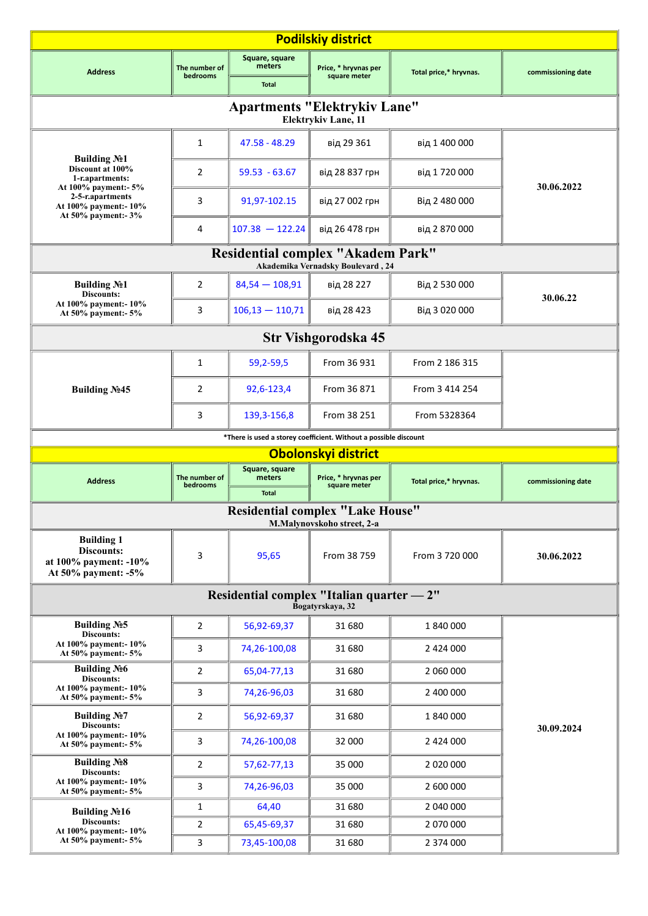| <b>Podilskiy district</b>                                                                    |                            |                                           |                                      |                        |                    |  |  |  |
|----------------------------------------------------------------------------------------------|----------------------------|-------------------------------------------|--------------------------------------|------------------------|--------------------|--|--|--|
| <b>Address</b>                                                                               | The number of              | Square, square<br>meters                  | Price, * hryvnas per                 |                        |                    |  |  |  |
|                                                                                              | bedrooms                   | <b>Total</b>                              | square meter                         | Total price,* hryvnas. | commissioning date |  |  |  |
| <b>Apartments "Elektrykiv Lane"</b><br>Elektrykiv Lane, 11                                   |                            |                                           |                                      |                        |                    |  |  |  |
|                                                                                              | 1                          | 47.58 - 48.29                             | від 29 361                           | від 1 400 000          |                    |  |  |  |
| <b>Building No1</b><br>Discount at 100%<br>1-r.apartments:<br>At 100% payment:- 5%           | $\overline{2}$             | $59.53 - 63.67$                           | від 28 837 грн                       | від 1720000            | 30.06.2022         |  |  |  |
| 2-5-r.apartments<br>At 100% payment: - 10%<br>At 50% payment:- 3%                            | 3                          | 91,97-102.15                              | від 27 002 грн                       | Від 2 480 000          |                    |  |  |  |
|                                                                                              | 4                          | $107.38 - 122.24$                         | від 26 478 грн                       | від 2 870 000          |                    |  |  |  |
|                                                                                              |                            | <b>Residential complex "Akadem Park"</b>  | Akademika Vernadsky Boulevard, 24    |                        |                    |  |  |  |
| <b>Building No1</b><br>Discounts:                                                            | $\overline{2}$             | $84,54 - 108,91$                          | від 28 227                           | Від 2 530 000          |                    |  |  |  |
| At 100% payment:-10%<br>At 50% payment:- 5%                                                  | 3                          | $106,13 - 110,71$                         | від 28 423                           | Від 3 020 000          | 30.06.22           |  |  |  |
|                                                                                              | <b>Str Vishgorodska 45</b> |                                           |                                      |                        |                    |  |  |  |
|                                                                                              | 1                          | 59,2-59,5                                 | From 36 931                          | From 2 186 315         |                    |  |  |  |
| Building No.45                                                                               | $\overline{2}$             | 92,6-123,4                                | From 36 871                          | From 3 414 254         |                    |  |  |  |
|                                                                                              | 3                          | 139, 3-156, 8                             | From 38 251                          | From 5328364           |                    |  |  |  |
| *There is used a storey coefficient. Without a possible discount                             |                            |                                           |                                      |                        |                    |  |  |  |
|                                                                                              |                            |                                           |                                      |                        |                    |  |  |  |
|                                                                                              |                            | Square, square                            | Obolonskyi district                  |                        |                    |  |  |  |
| <b>Address</b>                                                                               | The number of<br>bedrooms  | meters<br><b>Total</b>                    | Price, * hryvnas per<br>square meter | Total price,* hryvnas. | commissioning date |  |  |  |
|                                                                                              |                            | <b>Residential complex "Lake House"</b>   |                                      |                        |                    |  |  |  |
|                                                                                              |                            |                                           | M.Malynovskoho street, 2-a           |                        |                    |  |  |  |
| <b>Building 1</b><br><b>Discounts:</b><br>at 100% payment: -10%<br>At $50\%$ payment: $-5\%$ | 3                          | 95,65                                     | From 38 759                          | From 3 720 000         | 30.06.2022         |  |  |  |
|                                                                                              |                            | Residential complex "Italian quarter — 2" | Bogatyrskaya, 32                     |                        |                    |  |  |  |
| <b>Building No5</b>                                                                          | $\overline{2}$             | 56,92-69,37                               | 31 680                               | 1840000                |                    |  |  |  |
| Discounts:<br>At 100% payment:- 10%<br>At 50% payment:- 5%                                   | $\overline{3}$             | 74,26-100,08                              | 31 680                               | 2 424 000              |                    |  |  |  |
| <b>Building No6</b><br>Discounts:                                                            | 2                          | 65,04-77,13                               | 31 680                               | 2 060 000              |                    |  |  |  |
| At 100% payment:- 10%<br>At 50% payment:- 5%                                                 | 3                          | 74,26-96,03                               | 31 680                               | 2 400 000              |                    |  |  |  |
| <b>Building №7</b><br>Discounts:                                                             | $\overline{2}$             | 56,92-69,37                               | 31 680                               | 1840000                | 30.09.2024         |  |  |  |
| At 100% payment:-10%<br>At 50% payment:- 5%                                                  | 3                          | 74,26-100,08                              | 32 000                               | 2 424 000              |                    |  |  |  |
| <b>Building No8</b><br>Discounts:                                                            | $\overline{2}$             | 57,62-77,13                               | 35 000                               |                        |                    |  |  |  |
| At 100% payment:- 10%<br>At 50% payment:- 5%                                                 | 3                          | 74,26-96,03                               | 35 000                               | 2 600 000              |                    |  |  |  |
| Building No 16                                                                               | $\mathbf{1}$               | 64,40                                     | 31 680                               | 2 040 000              |                    |  |  |  |
| Discounts:<br>At 100% payment:- 10%<br>At 50% payment:- 5%                                   | $\overline{2}$<br>3        | 65,45-69,37<br>73,45-100,08               | 31 680<br>31 680                     | 2 070 000<br>2 374 000 |                    |  |  |  |